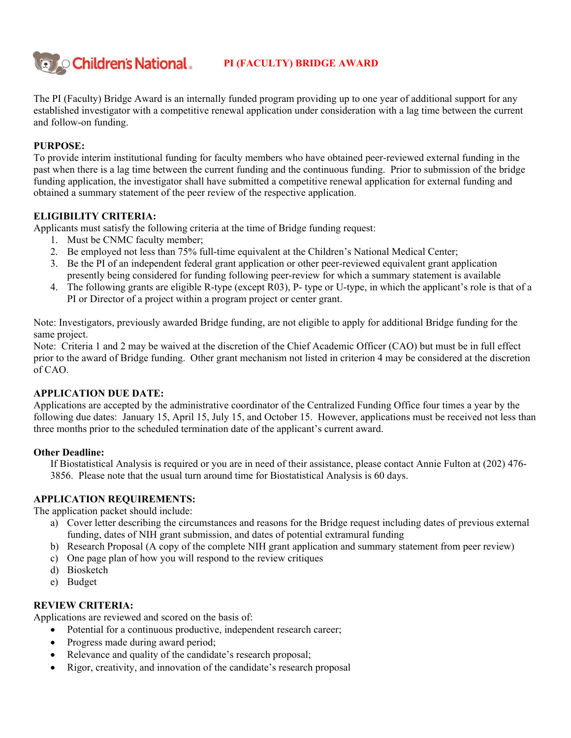

# **PI (FACULTY) BRIDGE AWARD**

The PI (Faculty) Bridge Award is an internally funded program providing up to one year of additional support for any established investigator with a competitive renewal application under consideration with a lag time between the current and follow-on funding.

## **PURPOSE:**

To provide interim institutional funding for faculty members who have obtained peer-reviewed external funding in the past when there is a lag time between the current funding and the continuous funding. Prior to submission of the bridge funding application, the investigator shall have submitted a competitive renewal application for external funding and obtained a summary statement of the peer review of the respective application.

## **ELIGIBILITY CRITERIA:**

Applicants must satisfy the following criteria at the time of Bridge funding request:

- 1. Must be CNMC faculty member;
- 2. Be employed not less than 75% full-time equivalent at the Children's National Medical Center;
- 3. Be the PI of an independent federal grant application or other peer-reviewed equivalent grant application presently being considered for funding following peer-review for which a summary statement is available
- 4. The following grants are eligible R-type (except R03), P- type or U-type, in which the applicant's role is that of a PI or Director of a project within a program project or center grant.

Note: Investigators, previously awarded Bridge funding, are not eligible to apply for additional Bridge funding for the same project.

Note: Criteria 1 and 2 may be waived at the discretion of the Chief Academic Officer (CAO) but must be in full effect prior to the award of Bridge funding. Other grant mechanism not listed in criterion 4 may be considered at the discretion of CAO.

## **APPLICATION DUE DATE:**

Applications are accepted by the administrative coordinator of the Centralized Funding Office four times a year by the following due dates: January 15, April 15, July 15, and October 15. However, applications must be received not less than three months prior to the scheduled termination date of the applicant's current award.

## **Other Deadline:**

 If Biostatistical Analysis is required or you are in need of their assistance, please contact Annie Fulton at (202) 476- 3856. Please note that the usual turn around time for Biostatistical Analysis is 60 days.

## **APPLICATION REQUIREMENTS:**

The application packet should include:

- a) Cover letter describing the circumstances and reasons for the Bridge request including dates of previous external funding, dates of NIH grant submission, and dates of potential extramural funding
- b) Research Proposal (A copy of the complete NIH grant application and summary statement from peer review)
- c) One page plan of how you will respond to the review critiques
- d) Biosketch
- e) Budget

#### **REVIEW CRITERIA:**

Applications are reviewed and scored on the basis of:

- Potential for a continuous productive, independent research career;
- Progress made during award period;
- Relevance and quality of the candidate's research proposal;
- Rigor, creativity, and innovation of the candidate's research proposal